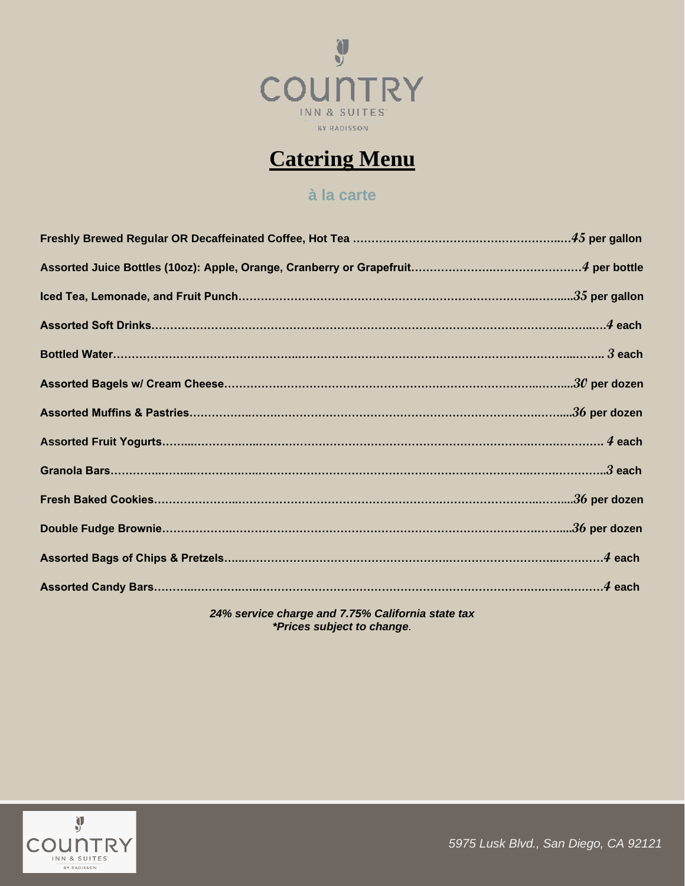

# **Catering Menu**

# **[à la carte](https://en.wikipedia.org/wiki/%C3%80_la_carte)**

*24% service charge and 7.75% California state tax \*Prices subject to change.*



*5975 Lusk Blvd., San Diego, CA 92121*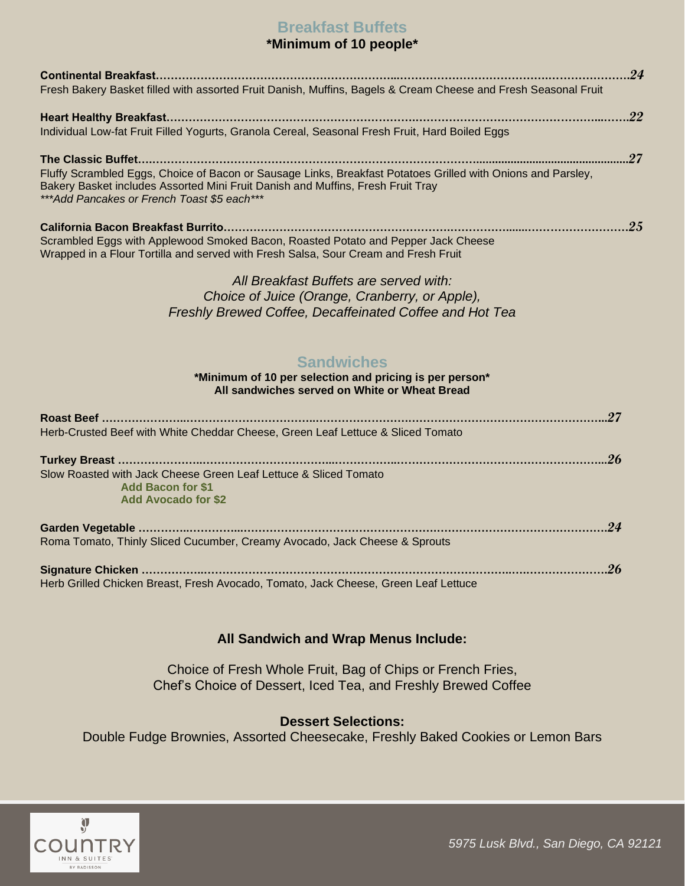## **Breakfast Buffets**

### **\*Minimum of 10 people\***

| Fresh Bakery Basket filled with assorted Fruit Danish, Muffins, Bagels & Cream Cheese and Fresh Seasonal Fruit                                                                                                                                  |  |
|-------------------------------------------------------------------------------------------------------------------------------------------------------------------------------------------------------------------------------------------------|--|
|                                                                                                                                                                                                                                                 |  |
| Individual Low-fat Fruit Filled Yogurts, Granola Cereal, Seasonal Fresh Fruit, Hard Boiled Eggs                                                                                                                                                 |  |
|                                                                                                                                                                                                                                                 |  |
| Fluffy Scrambled Eggs, Choice of Bacon or Sausage Links, Breakfast Potatoes Grilled with Onions and Parsley,<br>Bakery Basket includes Assorted Mini Fruit Danish and Muffins, Fresh Fruit Tray<br>*** Add Pancakes or French Toast \$5 each*** |  |
|                                                                                                                                                                                                                                                 |  |
| Scrambled Eggs with Applewood Smoked Bacon, Roasted Potato and Pepper Jack Cheese<br>Wrapped in a Flour Tortilla and served with Fresh Salsa, Sour Cream and Fresh Fruit                                                                        |  |
| All Breakfast Buffets are served with:                                                                                                                                                                                                          |  |
| Choice of Juice (Orange, Cranberry, or Apple),                                                                                                                                                                                                  |  |
| Freshly Brewed Coffee, Decaffeinated Coffee and Hot Tea                                                                                                                                                                                         |  |
| <b>Sandwiches</b>                                                                                                                                                                                                                               |  |
| *Minimum of 10 per selection and pricing is per person*<br>All sandwiches served on White or Wheat Bread                                                                                                                                        |  |
|                                                                                                                                                                                                                                                 |  |
| Herb-Crusted Beef with White Cheddar Cheese, Green Leaf Lettuce & Sliced Tomato                                                                                                                                                                 |  |
|                                                                                                                                                                                                                                                 |  |
| Slow Roasted with Jack Cheese Green Leaf Lettuce & Sliced Tomato                                                                                                                                                                                |  |
| <b>Add Bacon for \$1</b><br><b>Add Avocado for \$2</b>                                                                                                                                                                                          |  |
|                                                                                                                                                                                                                                                 |  |
| Roma Tomato, Thinly Sliced Cucumber, Creamy Avocado, Jack Cheese & Sprouts                                                                                                                                                                      |  |
|                                                                                                                                                                                                                                                 |  |
| Herb Grilled Chicken Breast, Fresh Avocado, Tomato, Jack Cheese, Green Leaf Lettuce                                                                                                                                                             |  |

#### **All Sandwich and Wrap Menus Include:**

Choice of Fresh Whole Fruit, Bag of Chips or French Fries, Chef's Choice of Dessert, Iced Tea, and Freshly Brewed Coffee

#### **Dessert Selections:**

Double Fudge Brownies, Assorted Cheesecake, Freshly Baked Cookies or Lemon Bars



*5975 Lusk Blvd., San Diego, CA 92121*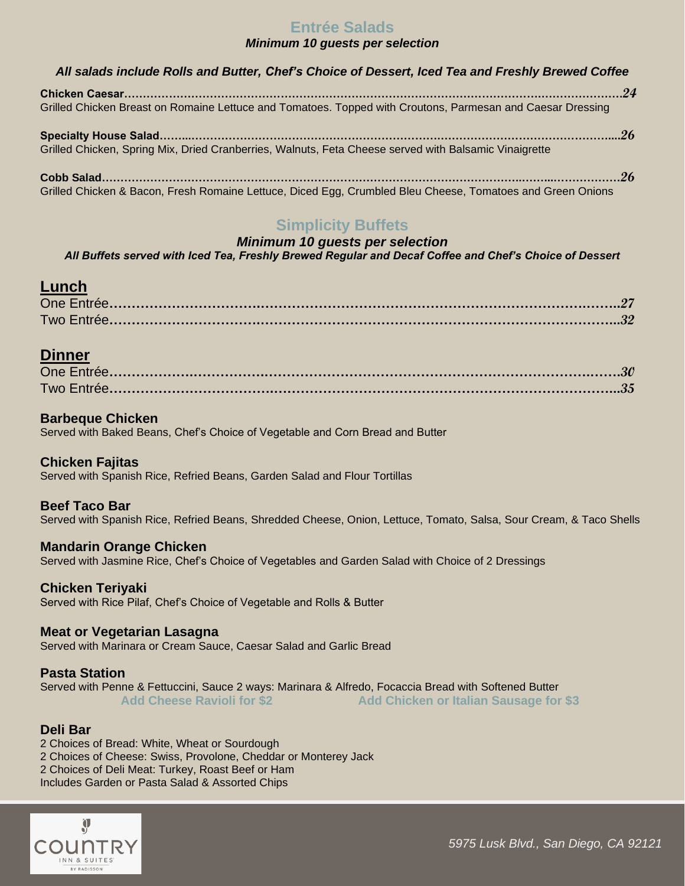### **Entrée Salads**

#### *Minimum 10 guests per selection*

| All salads include Rolls and Butter, Chef's Choice of Dessert, Iced Tea and Freshly Brewed Coffee          |  |  |
|------------------------------------------------------------------------------------------------------------|--|--|
|                                                                                                            |  |  |
| Grilled Chicken Breast on Romaine Lettuce and Tomatoes. Topped with Croutons, Parmesan and Caesar Dressing |  |  |
|                                                                                                            |  |  |
| Grilled Chicken, Spring Mix, Dried Cranberries, Walnuts, Feta Cheese served with Balsamic Vinaigrette      |  |  |
|                                                                                                            |  |  |
| Grilled Chicken & Bacon, Fresh Romaine Lettuce, Diced Egg, Crumbled Bleu Cheese, Tomatoes and Green Onions |  |  |

## **Simplicity Buffets**

#### *Minimum 10 guests per selection All Buffets served with Iced Tea, Freshly Brewed Regular and Decaf Coffee and Chef's Choice of Dessert*

### **Lunch**

### **Dinner**

#### **Barbeque Chicken**

Served with Baked Beans, Chef's Choice of Vegetable and Corn Bread and Butter

#### **Chicken Fajitas**

Served with Spanish Rice, Refried Beans, Garden Salad and Flour Tortillas

#### **Beef Taco Bar**

Served with Spanish Rice, Refried Beans, Shredded Cheese, Onion, Lettuce, Tomato, Salsa, Sour Cream, & Taco Shells

#### **Mandarin Orange Chicken**

Served with Jasmine Rice, Chef's Choice of Vegetables and Garden Salad with Choice of 2 Dressings

#### **Chicken Teriyaki**

Served with Rice Pilaf, Chef's Choice of Vegetable and Rolls & Butter

#### **Meat or Vegetarian Lasagna**

Served with Marinara or Cream Sauce, Caesar Salad and Garlic Bread

#### **Pasta Station**

Served with Penne & Fettuccini, Sauce 2 ways: Marinara & Alfredo, Focaccia Bread with Softened Butter Add Cheese Ravioli for \$2 **Add Chicken or Italian Sausage for \$3** 

#### **Deli Bar**

2 Choices of Bread: White, Wheat or Sourdough 2 Choices of Cheese: Swiss, Provolone, Cheddar or Monterey Jack 2 Choices of Deli Meat: Turkey, Roast Beef or Ham

Includes Garden or Pasta Salad & Assorted Chips

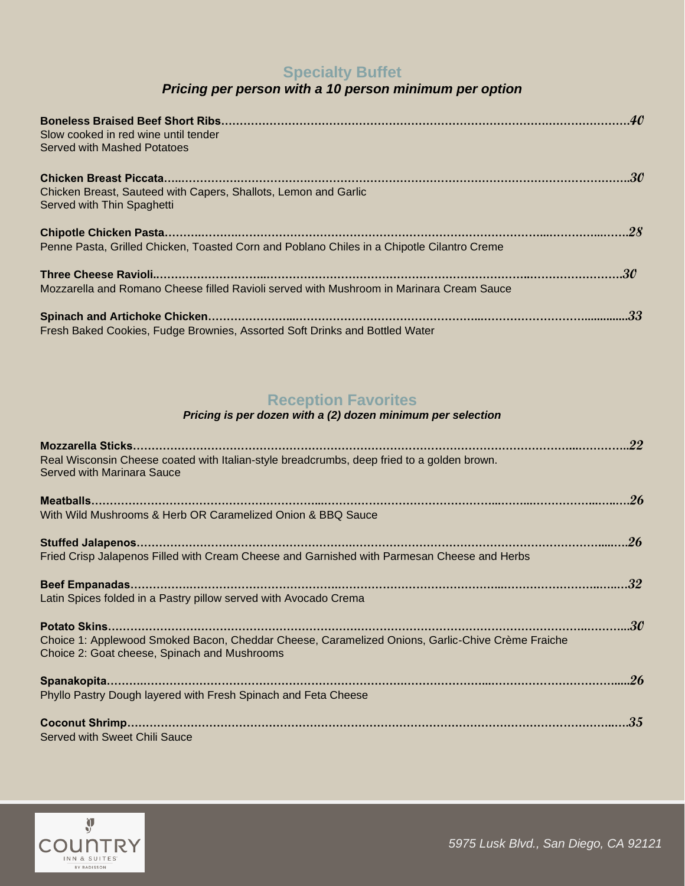# **Specialty Buffet**

# *Pricing per person with a 10 person minimum per option*

| Slow cooked in red wine until tender<br>Served with Mashed Potatoes                           |  |
|-----------------------------------------------------------------------------------------------|--|
|                                                                                               |  |
| Chicken Breast, Sauteed with Capers, Shallots, Lemon and Garlic<br>Served with Thin Spaghetti |  |
|                                                                                               |  |
| Penne Pasta, Grilled Chicken, Toasted Corn and Poblano Chiles in a Chipotle Cilantro Creme    |  |
|                                                                                               |  |
| Mozzarella and Romano Cheese filled Ravioli served with Mushroom in Marinara Cream Sauce      |  |
|                                                                                               |  |
| Fresh Baked Cookies, Fudge Brownies, Assorted Soft Drinks and Bottled Water                   |  |

# **Reception Favorites**

#### *Pricing is per dozen with a (2) dozen minimum per selection*

| Real Wisconsin Cheese coated with Italian-style breadcrumbs, deep fried to a golden brown.<br>Served with Marinara Sauce                         |  |
|--------------------------------------------------------------------------------------------------------------------------------------------------|--|
|                                                                                                                                                  |  |
|                                                                                                                                                  |  |
| With Wild Mushrooms & Herb OR Caramelized Onion & BBQ Sauce                                                                                      |  |
|                                                                                                                                                  |  |
| Fried Crisp Jalapenos Filled with Cream Cheese and Garnished with Parmesan Cheese and Herbs                                                      |  |
|                                                                                                                                                  |  |
| Latin Spices folded in a Pastry pillow served with Avocado Crema                                                                                 |  |
|                                                                                                                                                  |  |
| Choice 1: Applewood Smoked Bacon, Cheddar Cheese, Caramelized Onions, Garlic-Chive Crème Fraiche<br>Choice 2: Goat cheese, Spinach and Mushrooms |  |
|                                                                                                                                                  |  |
| Phyllo Pastry Dough layered with Fresh Spinach and Feta Cheese                                                                                   |  |
|                                                                                                                                                  |  |
| Served with Sweet Chili Sauce                                                                                                                    |  |